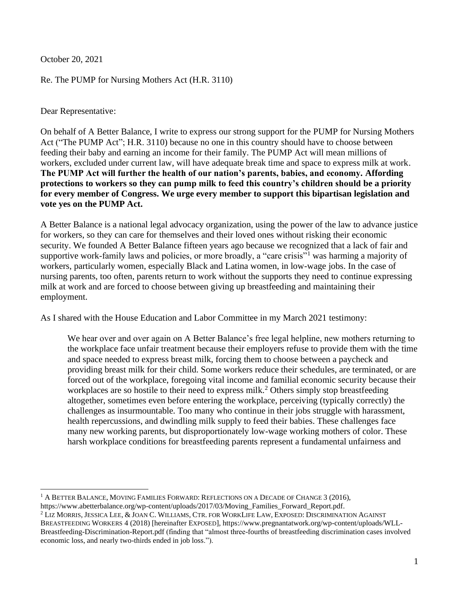October 20, 2021

Re. The PUMP for Nursing Mothers Act (H.R. 3110)

Dear Representative:

On behalf of A Better Balance, I write to express our strong support for the PUMP for Nursing Mothers Act ("The PUMP Act"; H.R. 3110) because no one in this country should have to choose between feeding their baby and earning an income for their family. The PUMP Act will mean millions of workers, excluded under current law, will have adequate break time and space to express milk at work. **The PUMP Act will further the health of our nation's parents, babies, and economy. Affording protections to workers so they can pump milk to feed this country's children should be a priority for every member of Congress. We urge every member to support this bipartisan legislation and vote yes on the PUMP Act.**

A Better Balance is a national legal advocacy organization, using the power of the law to advance justice for workers, so they can care for themselves and their loved ones without risking their economic security. We founded A Better Balance fifteen years ago because we recognized that a lack of fair and supportive work-family laws and policies, or more broadly, a "care crisis"<sup>1</sup> was harming a majority of workers, particularly women, especially Black and Latina women, in low-wage jobs. In the case of nursing parents, too often, parents return to work without the supports they need to continue expressing milk at work and are forced to choose between giving up breastfeeding and maintaining their employment.

As I shared with the House Education and Labor Committee in my March 2021 testimony:

We hear over and over again on A Better Balance's free legal helpline, new mothers returning to the workplace face unfair treatment because their employers refuse to provide them with the time and space needed to express breast milk, forcing them to choose between a paycheck and providing breast milk for their child. Some workers reduce their schedules, are terminated, or are forced out of the workplace, foregoing vital income and familial economic security because their workplaces are so hostile to their need to express milk.<sup>2</sup> Others simply stop breastfeeding altogether, sometimes even before entering the workplace, perceiving (typically correctly) the challenges as insurmountable. Too many who continue in their jobs struggle with harassment, health repercussions, and dwindling milk supply to feed their babies. These challenges face many new working parents, but disproportionately low-wage working mothers of color. These harsh workplace conditions for breastfeeding parents represent a fundamental unfairness and

 $1$  A BETTER BALANCE, MOVING FAMILIES FORWARD: REFLECTIONS ON A DECADE OF CHANGE 3 (2016), [https://www.abetterbalance.org/wp-content/uploads/2017/03/Moving\\_Families\\_Forward\\_Report.pdf.](https://www.abetterbalance.org/wp-content/uploads/2017/03/Moving_Families_Forward_Report.pdf)

<sup>2</sup> LIZ MORRIS, JESSICA LEE, & JOAN C. WILLIAMS, CTR. FOR WORKLIFE LAW, EXPOSED: DISCRIMINATION AGAINST BREASTFEEDING WORKERS 4 (2018) [hereinafter EXPOSED], [https://www.pregnantatwork.org/wp-content/uploads/WLL-](https://www.pregnantatwork.org/wp-content/uploads/WLL-Breastfeeding-Discrimination-Report.pdf)[Breastfeeding-Discrimination-Report.pdf](https://www.pregnantatwork.org/wp-content/uploads/WLL-Breastfeeding-Discrimination-Report.pdf) (finding that "almost three-fourths of breastfeeding discrimination cases involved economic loss, and nearly two-thirds ended in job loss.").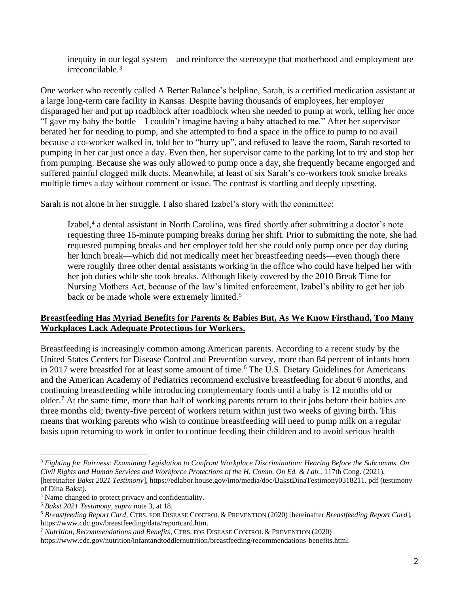inequity in our legal system—and reinforce the stereotype that motherhood and employment are irreconcilable.<sup>3</sup>

One worker who recently called A Better Balance's helpline, Sarah, is a certified medication assistant at a large long-term care facility in Kansas. Despite having thousands of employees, her employer disparaged her and put up roadblock after roadblock when she needed to pump at work, telling her once "I gave my baby the bottle—I couldn't imagine having a baby attached to me." After her supervisor berated her for needing to pump, and she attempted to find a space in the office to pump to no avail because a co-worker walked in, told her to "hurry up", and refused to leave the room, Sarah resorted to pumping in her car just once a day. Even then, her supervisor came to the parking lot to try and stop her from pumping. Because she was only allowed to pump once a day, she frequently became engorged and suffered painful clogged milk ducts. Meanwhile, at least of six Sarah's co-workers took smoke breaks multiple times a day without comment or issue. The contrast is startling and deeply upsetting.

Sarah is not alone in her struggle. I also shared Izabel's story with the committee:

Izabel,<sup>4</sup> a dental assistant in North Carolina, was fired shortly after submitting a doctor's note requesting three 15-minute pumping breaks during her shift. Prior to submitting the note, she had requested pumping breaks and her employer told her she could only pump once per day during her lunch break—which did not medically meet her breastfeeding needs—even though there were roughly three other dental assistants working in the office who could have helped her with her job duties while she took breaks. Although likely covered by the 2010 Break Time for Nursing Mothers Act, because of the law's limited enforcement, Izabel's ability to get her job back or be made whole were extremely limited.<sup>5</sup>

## **Breastfeeding Has Myriad Benefits for Parents & Babies But, As We Know Firsthand, Too Many Workplaces Lack Adequate Protections for Workers.**

Breastfeeding is increasingly common among American parents. According to a recent study by the United States Centers for Disease Control and Prevention survey, more than 84 percent of infants born in 2017 were breastfed for at least some amount of time.<sup>6</sup> The U.S. Dietary Guidelines for Americans and the American Academy of Pediatrics recommend exclusive breastfeeding for about 6 months, and continuing breastfeeding while introducing complementary foods until a baby is 12 months old or older.<sup>7</sup> At the same time, more than half of working parents return to their jobs before their babies are three months old; twenty-five percent of workers return within just two weeks of giving birth. This means that working parents who wish to continue breastfeeding will need to pump milk on a regular basis upon returning to work in order to continue feeding their children and to avoid serious health

<sup>3</sup> *Fighting for Fairness: Examining Legislation to Confront Workplace Discrimination: Hearing Before the Subcomms. On Civil Rights and Human Services and Workforce Protections of the H. Comm. On Ed. & Lab.,* 117th Cong. (2021), [hereinafter *Bakst 2021 Testimony*], https://edlabor.house.gov/imo/media/doc/BakstDinaTestimony0318211. pdf (testimony of Dina Bakst).

<sup>4</sup> Name changed to protect privacy and confidentiality.

<sup>5</sup> *Bakst 2021 Testimony, supra* note 3, at 18.

<sup>6</sup> *Breastfeeding Report Card*, CTRS. FOR DISEASE CONTROL & PREVENTION (2020) [hereinafter *Breastfeeding Report Card*], [https://www.cdc.gov/breastfeeding/data/reportcard.htm.](https://www.cdc.gov/breastfeeding/data/reportcard.htm)

<sup>7</sup> *Nutrition, Recommendations and Benefits*, CTRS. FOR DISEASE CONTROL & PREVENTION (2020)

https://www.cdc.gov/nutrition/infantandtoddlernutrition/breastfeeding/recommendations-benefits.html.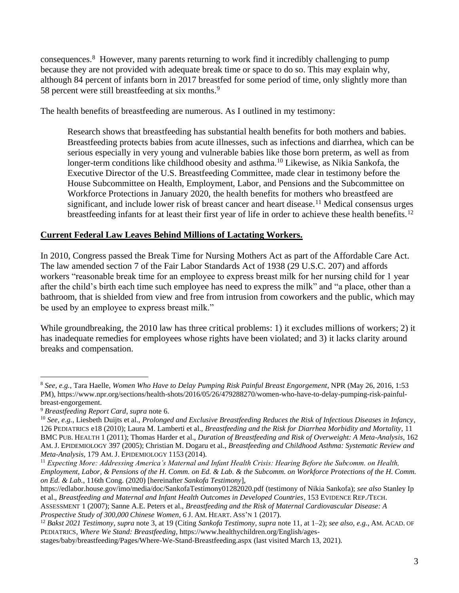consequences.<sup>8</sup> However, many parents returning to work find it incredibly challenging to pump because they are not provided with adequate break time or space to do so. This may explain why, although 84 percent of infants born in 2017 breastfed for some period of time, only slightly more than 58 percent were still breastfeeding at six months.<sup>9</sup>

The health benefits of breastfeeding are numerous. As I outlined in my testimony:

Research shows that breastfeeding has substantial health benefits for both mothers and babies. Breastfeeding protects babies from acute illnesses, such as infections and diarrhea, which can be serious especially in very young and vulnerable babies like those born preterm, as well as from longer-term conditions like childhood obesity and asthma.<sup>10</sup> Likewise, as Nikia Sankofa, the Executive Director of the U.S. Breastfeeding Committee, made clear in testimony before the House Subcommittee on Health, Employment, Labor, and Pensions and the Subcommittee on Workforce Protections in January 2020, the health benefits for mothers who breastfeed are significant, and include lower risk of breast cancer and heart disease.<sup>11</sup> Medical consensus urges breastfeeding infants for at least their first year of life in order to achieve these health benefits.<sup>12</sup>

## **Current Federal Law Leaves Behind Millions of Lactating Workers.**

In 2010, Congress passed the Break Time for Nursing Mothers Act as part of the Affordable Care Act. The law amended section 7 of the Fair Labor Standards Act of 1938 (29 U.S.C. 207) and affords workers "reasonable break time for an employee to express breast milk for her nursing child for 1 year after the child's birth each time such employee has need to express the milk" and "a place, other than a bathroom, that is shielded from view and free from intrusion from coworkers and the public, which may be used by an employee to express breast milk."

While groundbreaking, the 2010 law has three critical problems: 1) it excludes millions of workers; 2) it has inadequate remedies for employees whose rights have been violated; and 3) it lacks clarity around breaks and compensation.

*Prospective Study of 300,000 Chinese Women*, 6 J. AM. HEART. ASS'N 1 (2017).

<sup>8</sup> *See, e.g.*, Tara Haelle, *Women Who Have to Delay Pumping Risk Painful Breast Engorgement*, NPR (May 26, 2016, 1:53 PM), [https://www.npr.org/sections/health-shots/2016/05/26/479288270/women-who-have-to-delay-pumping-risk-painful](https://www.npr.org/sections/health-shots/2016/05/26/479288270/women-who-have-to-delay-pumping-risk-painful-breast-engorgement)[breast-engorgement.](https://www.npr.org/sections/health-shots/2016/05/26/479288270/women-who-have-to-delay-pumping-risk-painful-breast-engorgement)

<sup>9</sup> *Breastfeeding Report Card*, *supra* note 6.

<sup>10</sup> *See, e.g.*, Liesbeth Duijts et al., *Prolonged and Exclusive Breastfeeding Reduces the Risk of Infectious Diseases in Infancy*, 126 PEDIATRICS e18 (2010); Laura M. Lamberti et al., *Breastfeeding and the Risk for Diarrhea Morbidity and Mortality*, 11 BMC PUB. HEALTH 1 (2011); Thomas Harder et al., *Duration of Breastfeeding and Risk of Overweight: A Meta-Analysis*, 162 AM. J. EPIDEMIOLOGY 397 (2005); Christian M. Dogaru et al., *Breastfeeding and Childhood Asthma: Systematic Review and Meta-Analysis*, 179 AM. J. EPIDEMIOLOGY 1153 (2014).

<sup>&</sup>lt;sup>11</sup> Expecting More: Addressing America's Maternal and Infant Health Crisis: Hearing Before the Subcomm. on Health, *Employment, Labor, & Pensions of the H. Comm. on Ed. & Lab. & the Subcomm. on Workforce Protections of the H. Comm. on Ed. & Lab.*, 116th Cong. (2020) [hereinafter *Sankofa Testimony*],

<https://edlabor.house.gov/imo/media/doc/SankofaTestimony01282020.pdf> (testimony of Nikia Sankofa); *see also* Stanley Ip et al., *Breastfeeding and Maternal and Infant Health Outcomes in Developed Countries*, 153 EVIDENCE REP./TECH. ASSESSMENT 1 (2007); Sanne A.E. Peters et al., *Breastfeeding and the Risk of Maternal Cardiovascular Disease: A* 

<sup>12</sup> *Bakst 2021 Testimony*, *supra* note 3, at 19 (Citing *Sankofa Testimony*, *supra* note 11, at 1–2); *see also, e.g.*, AM. ACAD. OF PEDIATRICS, *Where We Stand: Breastfeeding*[, https://www.healthychildren.org/English/ages-](https://www.healthychildren.org/English/ages-stages/baby/breastfeeding/Pages/Where-We-Stand-Breastfeeding.aspx)

[stages/baby/breastfeeding/Pages/Where-We-Stand-Breastfeeding.aspx](https://www.healthychildren.org/English/ages-stages/baby/breastfeeding/Pages/Where-We-Stand-Breastfeeding.aspx) (last visited March 13, 2021).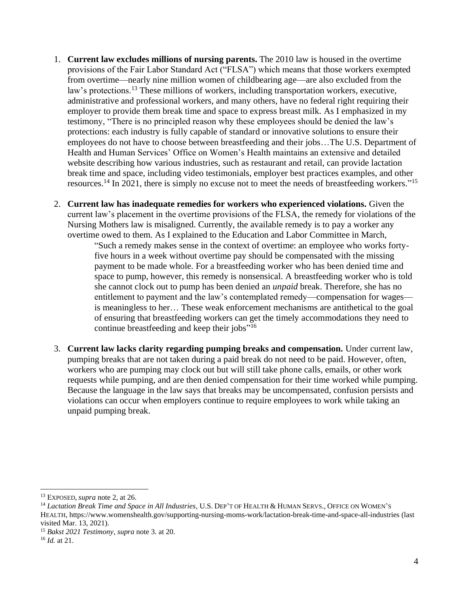- 1. **Current law excludes millions of nursing parents.** The 2010 law is housed in the overtime provisions of the Fair Labor Standard Act ("FLSA") which means that those workers exempted from overtime—nearly nine million women of childbearing age—are also excluded from the law's protections.<sup>13</sup> These millions of workers, including transportation workers, executive, administrative and professional workers, and many others, have no federal right requiring their employer to provide them break time and space to express breast milk. As I emphasized in my testimony, "There is no principled reason why these employees should be denied the law's protections: each industry is fully capable of standard or innovative solutions to ensure their employees do not have to choose between breastfeeding and their jobs…The U.S. Department of Health and Human Services' Office on Women's Health maintains an extensive and detailed website describing how various industries, such as restaurant and retail, can provide lactation break time and space, including video testimonials, employer best practices examples, and other resources.<sup>14</sup> In 2021, there is simply no excuse not to meet the needs of breastfeeding workers."<sup>15</sup>
- 2. **Current law has inadequate remedies for workers who experienced violations.** Given the current law's placement in the overtime provisions of the FLSA, the remedy for violations of the Nursing Mothers law is misaligned. Currently, the available remedy is to pay a worker any overtime owed to them. As I explained to the Education and Labor Committee in March,

"Such a remedy makes sense in the context of overtime: an employee who works fortyfive hours in a week without overtime pay should be compensated with the missing payment to be made whole. For a breastfeeding worker who has been denied time and space to pump, however, this remedy is nonsensical. A breastfeeding worker who is told she cannot clock out to pump has been denied an *unpaid* break. Therefore, she has no entitlement to payment and the law's contemplated remedy—compensation for wages is meaningless to her… These weak enforcement mechanisms are antithetical to the goal of ensuring that breastfeeding workers can get the timely accommodations they need to continue breastfeeding and keep their jobs"<sup>16</sup>

3. **Current law lacks clarity regarding pumping breaks and compensation.** Under current law, pumping breaks that are not taken during a paid break do not need to be paid. However, often, workers who are pumping may clock out but will still take phone calls, emails, or other work requests while pumping, and are then denied compensation for their time worked while pumping. Because the language in the law says that breaks may be uncompensated, confusion persists and violations can occur when employers continue to require employees to work while taking an unpaid pumping break.

<sup>13</sup> EXPOSED, *supra* note 2, at 26.

<sup>14</sup> *Lactation Break Time and Space in All Industries*, U.S. DEP'T OF HEALTH & HUMAN SERVS., OFFICE ON WOMEN'S HEALTH[, https://www.womenshealth.gov/supporting-nursing-moms-work/lactation-break-time-and-space-all-industries](https://www.womenshealth.gov/supporting-nursing-moms-work/lactation-break-time-and-space-all-industries) (last visited Mar. 13, 2021).

<sup>15</sup> *Bakst 2021 Testimony*, *supra* note 3. at 20.

<sup>16</sup> *Id.* at 21.